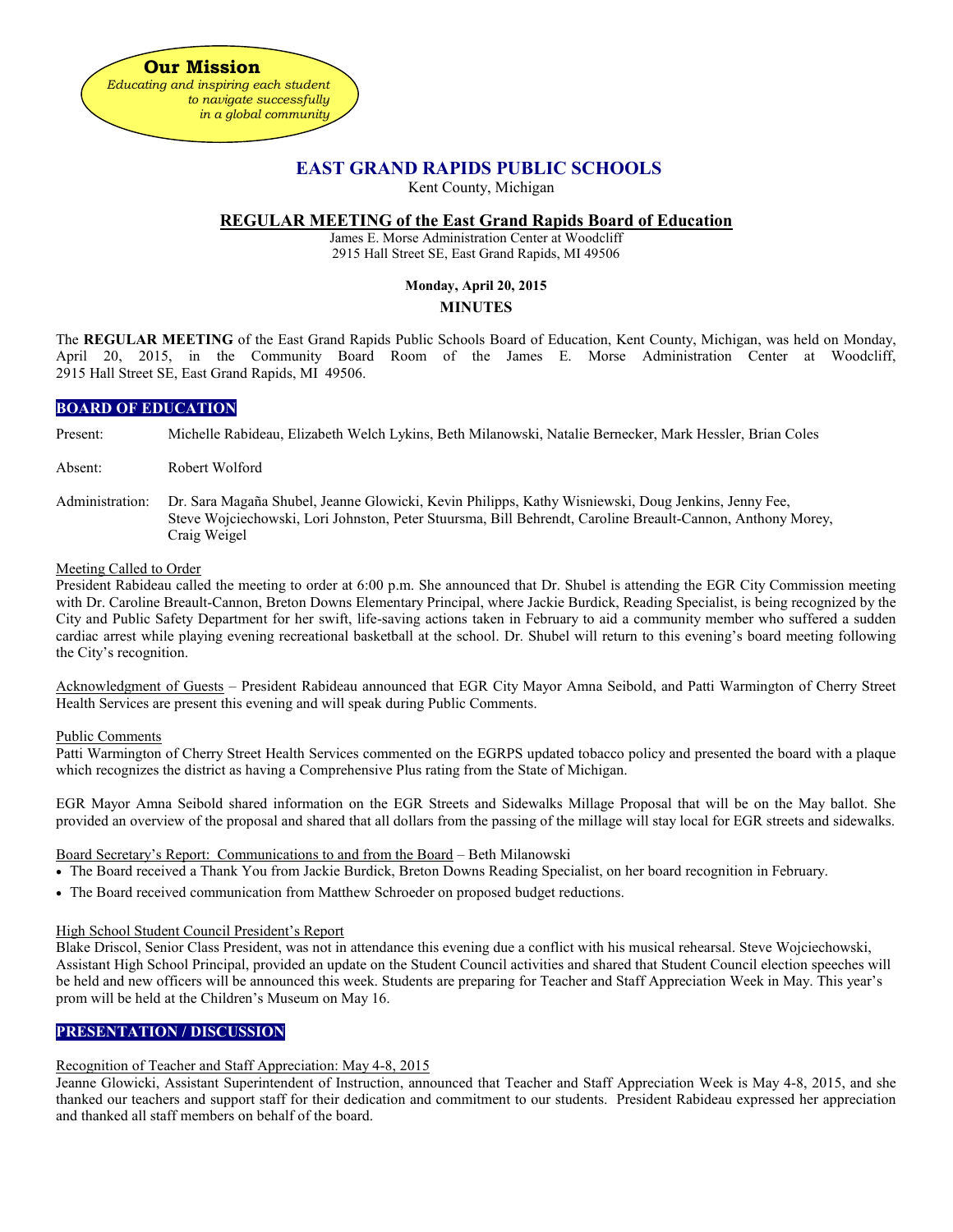

## **EAST GRAND RAPIDS PUBLIC SCHOOLS**

Kent County, Michigan

## **REGULAR MEETING of the East Grand Rapids Board of Education**

James E. Morse Administration Center at Woodcliff 2915 Hall Street SE, East Grand Rapids, MI 49506

## **Monday, April 20, 2015**

## **MINUTES**

The **REGULAR MEETING** of the East Grand Rapids Public Schools Board of Education, Kent County, Michigan, was held on Monday, April 20, 2015, in the Community Board Room of the James E. Morse Administration Center at Woodcliff, 2915 Hall Street SE, East Grand Rapids, MI 49506.

## **BOARD OF EDUCATION**

Present: Michelle Rabideau, Elizabeth Welch Lykins, Beth Milanowski, Natalie Bernecker, Mark Hessler, Brian Coles

- Absent: Robert Wolford
- Administration: Dr. Sara Magaña Shubel, Jeanne Glowicki, Kevin Philipps, Kathy Wisniewski, Doug Jenkins, Jenny Fee, Steve Wojciechowski, Lori Johnston, Peter Stuursma, Bill Behrendt, Caroline Breault-Cannon, Anthony Morey, Craig Weigel

## Meeting Called to Order

President Rabideau called the meeting to order at 6:00 p.m. She announced that Dr. Shubel is attending the EGR City Commission meeting with Dr. Caroline Breault-Cannon, Breton Downs Elementary Principal, where Jackie Burdick, Reading Specialist, is being recognized by the City and Public Safety Department for her swift, life-saving actions taken in February to aid a community member who suffered a sudden cardiac arrest while playing evening recreational basketball at the school. Dr. Shubel will return to this evening's board meeting following the City's recognition.

Acknowledgment of Guests – President Rabideau announced that EGR City Mayor Amna Seibold, and Patti Warmington of Cherry Street Health Services are present this evening and will speak during Public Comments.

## Public Comments

Patti Warmington of Cherry Street Health Services commented on the EGRPS updated tobacco policy and presented the board with a plaque which recognizes the district as having a Comprehensive Plus rating from the State of Michigan.

EGR Mayor Amna Seibold shared information on the EGR Streets and Sidewalks Millage Proposal that will be on the May ballot. She provided an overview of the proposal and shared that all dollars from the passing of the millage will stay local for EGR streets and sidewalks.

## Board Secretary's Report: Communications to and from the Board – Beth Milanowski

- The Board received a Thank You from Jackie Burdick, Breton Downs Reading Specialist, on her board recognition in February.
- The Board received communication from Matthew Schroeder on proposed budget reductions.

## High School Student Council President's Report

Blake Driscol, Senior Class President, was not in attendance this evening due a conflict with his musical rehearsal. Steve Wojciechowski, Assistant High School Principal, provided an update on the Student Council activities and shared that Student Council election speeches will be held and new officers will be announced this week. Students are preparing for Teacher and Staff Appreciation Week in May. This year's prom will be held at the Children's Museum on May 16.

## **PRESENTATION / DISCUSSION**

## Recognition of Teacher and Staff Appreciation: May 4-8, 2015

Jeanne Glowicki, Assistant Superintendent of Instruction, announced that Teacher and Staff Appreciation Week is May 4-8, 2015, and she thanked our teachers and support staff for their dedication and commitment to our students. President Rabideau expressed her appreciation and thanked all staff members on behalf of the board.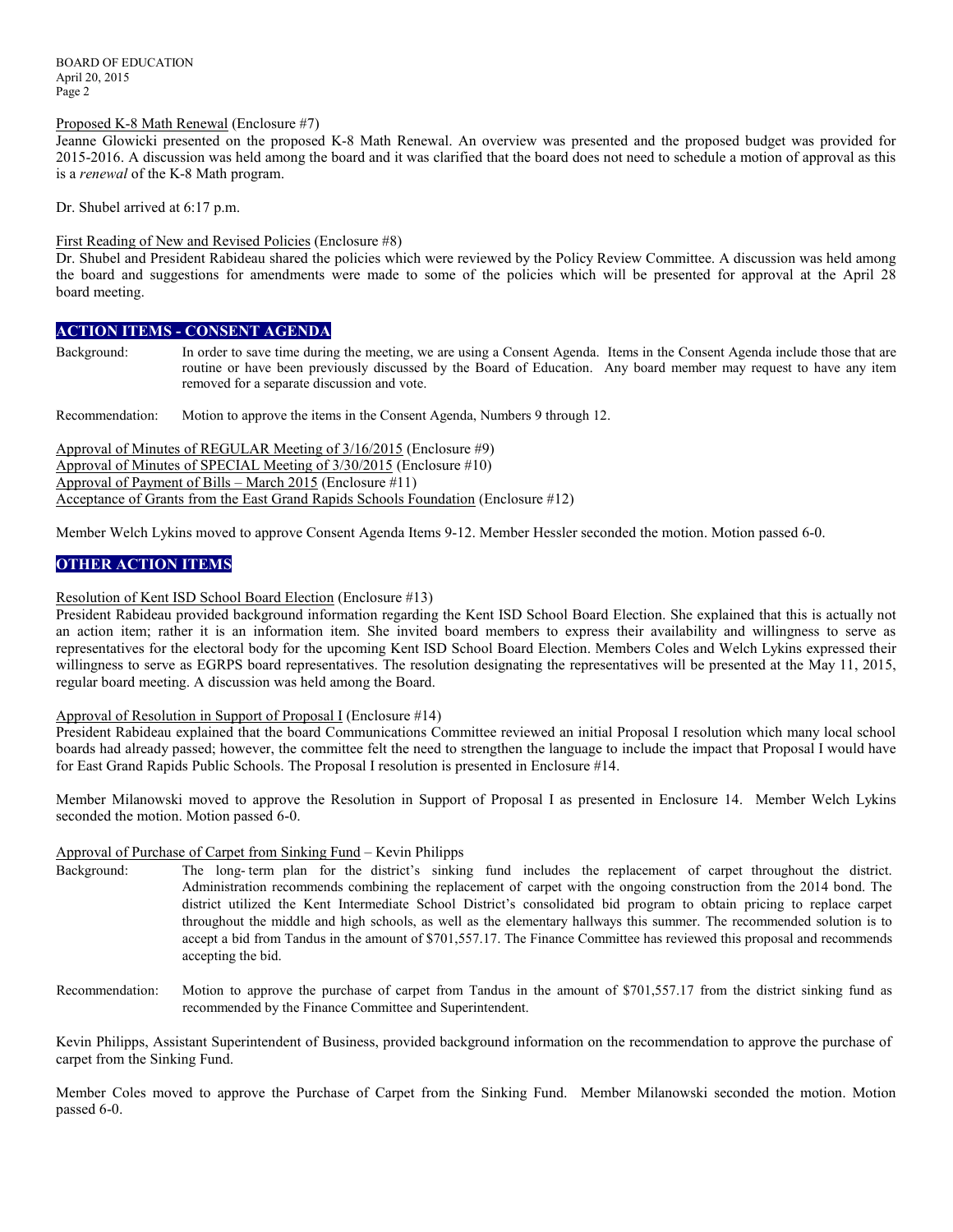BOARD OF EDUCATION April 20, 2015 Page 2

#### Proposed K-8 Math Renewal (Enclosure #7)

Jeanne Glowicki presented on the proposed K-8 Math Renewal. An overview was presented and the proposed budget was provided for 2015-2016. A discussion was held among the board and it was clarified that the board does not need to schedule a motion of approval as this is a *renewal* of the K-8 Math program.

Dr. Shubel arrived at 6:17 p.m.

#### First Reading of New and Revised Policies (Enclosure #8)

Dr. Shubel and President Rabideau shared the policies which were reviewed by the Policy Review Committee. A discussion was held among the board and suggestions for amendments were made to some of the policies which will be presented for approval at the April 28 board meeting.

## **ACTION ITEMS - CONSENT AGENDA**

Background: In order to save time during the meeting, we are using a Consent Agenda. Items in the Consent Agenda include those that are routine or have been previously discussed by the Board of Education. Any board member may request to have any item removed for a separate discussion and vote.

Recommendation: Motion to approve the items in the Consent Agenda, Numbers 9 through 12.

Approval of Minutes of REGULAR Meeting of 3/16/2015 (Enclosure #9) Approval of Minutes of SPECIAL Meeting of 3/30/2015 (Enclosure #10) Approval of Payment of Bills – March 2015 (Enclosure #11) Acceptance of Grants from the East Grand Rapids Schools Foundation (Enclosure #12)

Member Welch Lykins moved to approve Consent Agenda Items 9-12. Member Hessler seconded the motion. Motion passed 6-0.

## **OTHER ACTION ITEMS**

## Resolution of Kent ISD School Board Election (Enclosure #13)

President Rabideau provided background information regarding the Kent ISD School Board Election. She explained that this is actually not an action item; rather it is an information item. She invited board members to express their availability and willingness to serve as representatives for the electoral body for the upcoming Kent ISD School Board Election. Members Coles and Welch Lykins expressed their willingness to serve as EGRPS board representatives. The resolution designating the representatives will be presented at the May 11, 2015, regular board meeting. A discussion was held among the Board.

## Approval of Resolution in Support of Proposal I (Enclosure #14)

President Rabideau explained that the board Communications Committee reviewed an initial Proposal I resolution which many local school boards had already passed; however, the committee felt the need to strengthen the language to include the impact that Proposal I would have for East Grand Rapids Public Schools. The Proposal I resolution is presented in Enclosure #14.

Member Milanowski moved to approve the Resolution in Support of Proposal I as presented in Enclosure 14. Member Welch Lykins seconded the motion. Motion passed 6-0.

## Approval of Purchase of Carpet from Sinking Fund – Kevin Philipps

- Background: The long- term plan for the district's sinking fund includes the replacement of carpet throughout the district. Administration recommends combining the replacement of carpet with the ongoing construction from the 2014 bond. The district utilized the Kent Intermediate School District's consolidated bid program to obtain pricing to replace carpet throughout the middle and high schools, as well as the elementary hallways this summer. The recommended solution is to accept a bid from Tandus in the amount of \$701,557.17. The Finance Committee has reviewed this proposal and recommends accepting the bid.
- Recommendation: Motion to approve the purchase of carpet from Tandus in the amount of \$701,557.17 from the district sinking fund as recommended by the Finance Committee and Superintendent.

Kevin Philipps, Assistant Superintendent of Business, provided background information on the recommendation to approve the purchase of carpet from the Sinking Fund.

Member Coles moved to approve the Purchase of Carpet from the Sinking Fund. Member Milanowski seconded the motion. Motion passed 6-0.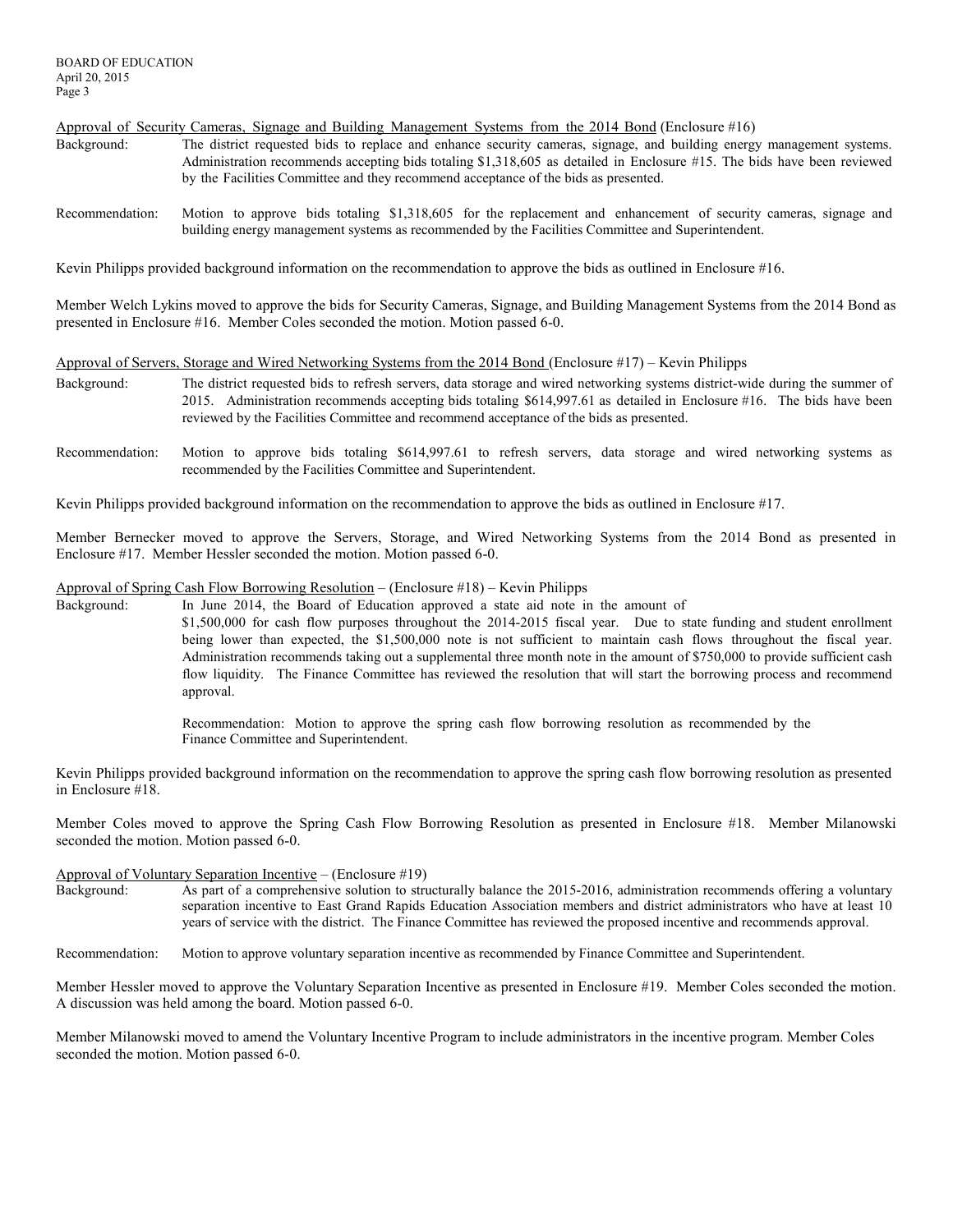Approval of Security Cameras, Signage and Building Management Systems from the 2014 Bond (Enclosure #16)

- Background: The district requested bids to replace and enhance security cameras, signage, and building energy management systems. Administration recommends accepting bids totaling \$1,318,605 as detailed in Enclosure #15. The bids have been reviewed by the Facilities Committee and they recommend acceptance of the bids as presented.
- Recommendation: Motion to approve bids totaling \$1,318,605 for the replacement and enhancement of security cameras, signage and building energy management systems as recommended by the Facilities Committee and Superintendent.

Kevin Philipps provided background information on the recommendation to approve the bids as outlined in Enclosure #16.

Member Welch Lykins moved to approve the bids for Security Cameras, Signage, and Building Management Systems from the 2014 Bond as presented in Enclosure #16. Member Coles seconded the motion. Motion passed 6-0.

#### Approval of Servers, Storage and Wired Networking Systems from the 2014 Bond (Enclosure #17) – Kevin Philipps

- Background: The district requested bids to refresh servers, data storage and wired networking systems district-wide during the summer of 2015. Administration recommends accepting bids totaling \$614,997.61 as detailed in Enclosure #16. The bids have been reviewed by the Facilities Committee and recommend acceptance of the bids as presented.
- Recommendation: Motion to approve bids totaling \$614,997.61 to refresh servers, data storage and wired networking systems as recommended by the Facilities Committee and Superintendent.

Kevin Philipps provided background information on the recommendation to approve the bids as outlined in Enclosure #17.

Member Bernecker moved to approve the Servers, Storage, and Wired Networking Systems from the 2014 Bond as presented in Enclosure #17. Member Hessler seconded the motion. Motion passed 6-0.

#### Approval of Spring Cash Flow Borrowing Resolution – (Enclosure #18) – Kevin Philipps

Background: In June 2014, the Board of Education approved a state aid note in the amount of \$1,500,000 for cash flow purposes throughout the 2014-2015 fiscal year. Due to state funding and student enrollment being lower than expected, the \$1,500,000 note is not sufficient to maintain cash flows throughout the fiscal year. Administration recommends taking out a supplemental three month note in the amount of \$750,000 to provide sufficient cash flow liquidity. The Finance Committee has reviewed the resolution that will start the borrowing process and recommend approval.

> Recommendation: Motion to approve the spring cash flow borrowing resolution as recommended by the Finance Committee and Superintendent.

Kevin Philipps provided background information on the recommendation to approve the spring cash flow borrowing resolution as presented in Enclosure #18.

Member Coles moved to approve the Spring Cash Flow Borrowing Resolution as presented in Enclosure #18. Member Milanowski seconded the motion. Motion passed 6-0.

# Approval of Voluntary Separation Incentive – (Enclosure #19)

As part of a comprehensive solution to structurally balance the 2015-2016, administration recommends offering a voluntary separation incentive to East Grand Rapids Education Association members and district administrators who have at least 10 years of service with the district. The Finance Committee has reviewed the proposed incentive and recommends approval.

Recommendation: Motion to approve voluntary separation incentive as recommended by Finance Committee and Superintendent.

Member Hessler moved to approve the Voluntary Separation Incentive as presented in Enclosure #19. Member Coles seconded the motion. A discussion was held among the board. Motion passed 6-0.

Member Milanowski moved to amend the Voluntary Incentive Program to include administrators in the incentive program. Member Coles seconded the motion. Motion passed 6-0.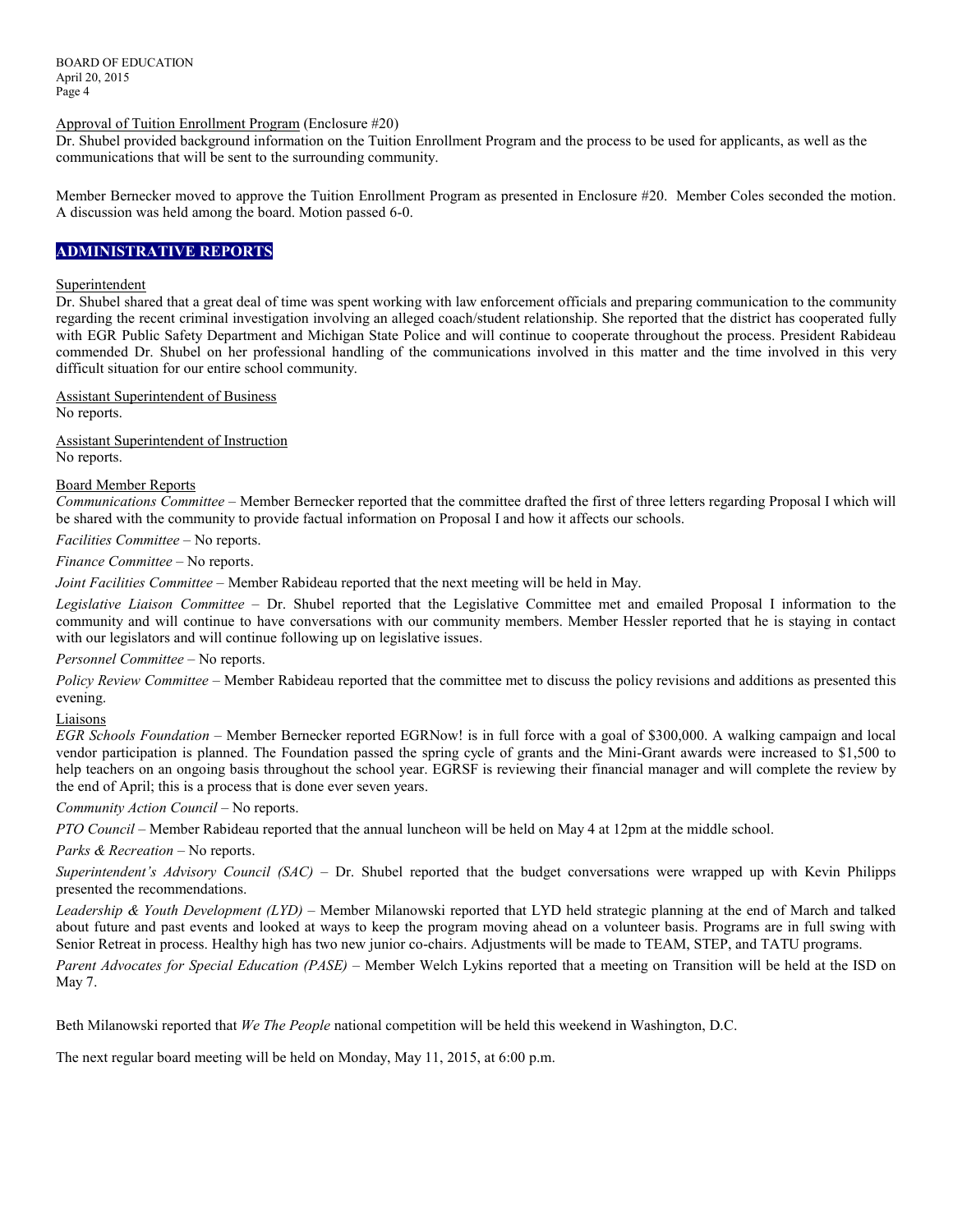BOARD OF EDUCATION April 20, 2015 Page 4

Approval of Tuition Enrollment Program (Enclosure #20)

Dr. Shubel provided background information on the Tuition Enrollment Program and the process to be used for applicants, as well as the communications that will be sent to the surrounding community.

Member Bernecker moved to approve the Tuition Enrollment Program as presented in Enclosure #20. Member Coles seconded the motion. A discussion was held among the board. Motion passed 6-0.

## **ADMINISTRATIVE REPORTS**

#### Superintendent

Dr. Shubel shared that a great deal of time was spent working with law enforcement officials and preparing communication to the community regarding the recent criminal investigation involving an alleged coach/student relationship. She reported that the district has cooperated fully with EGR Public Safety Department and Michigan State Police and will continue to cooperate throughout the process. President Rabideau commended Dr. Shubel on her professional handling of the communications involved in this matter and the time involved in this very difficult situation for our entire school community.

Assistant Superintendent of Business No reports.

Assistant Superintendent of Instruction No reports.

#### Board Member Reports

*Communications Committee –* Member Bernecker reported that the committee drafted the first of three letters regarding Proposal I which will be shared with the community to provide factual information on Proposal I and how it affects our schools.

*Facilities Committee –* No reports.

*Finance Committee –* No reports.

*Joint Facilities Committee –* Member Rabideau reported that the next meeting will be held in May.

*Legislative Liaison Committee* – Dr. Shubel reported that the Legislative Committee met and emailed Proposal I information to the community and will continue to have conversations with our community members. Member Hessler reported that he is staying in contact with our legislators and will continue following up on legislative issues.

## *Personnel Committee –* No reports.

*Policy Review Committee –* Member Rabideau reported that the committee met to discuss the policy revisions and additions as presented this evening.

#### Liaisons

*EGR Schools Foundation –* Member Bernecker reported EGRNow! is in full force with a goal of \$300,000. A walking campaign and local vendor participation is planned. The Foundation passed the spring cycle of grants and the Mini-Grant awards were increased to \$1,500 to help teachers on an ongoing basis throughout the school year. EGRSF is reviewing their financial manager and will complete the review by the end of April; this is a process that is done ever seven years.

*Community Action Council –* No reports.

*PTO Council –* Member Rabideau reported that the annual luncheon will be held on May 4 at 12pm at the middle school.

#### *Parks & Recreation* – No reports.

*Superintendent's Advisory Council (SAC) –* Dr. Shubel reported that the budget conversations were wrapped up with Kevin Philipps presented the recommendations.

*Leadership & Youth Development (LYD) –* Member Milanowski reported that LYD held strategic planning at the end of March and talked about future and past events and looked at ways to keep the program moving ahead on a volunteer basis. Programs are in full swing with Senior Retreat in process. Healthy high has two new junior co-chairs. Adjustments will be made to TEAM, STEP, and TATU programs.

*Parent Advocates for Special Education (PASE) –* Member Welch Lykins reported that a meeting on Transition will be held at the ISD on May 7.

Beth Milanowski reported that *We The People* national competition will be held this weekend in Washington, D.C.

The next regular board meeting will be held on Monday, May 11, 2015, at 6:00 p.m.